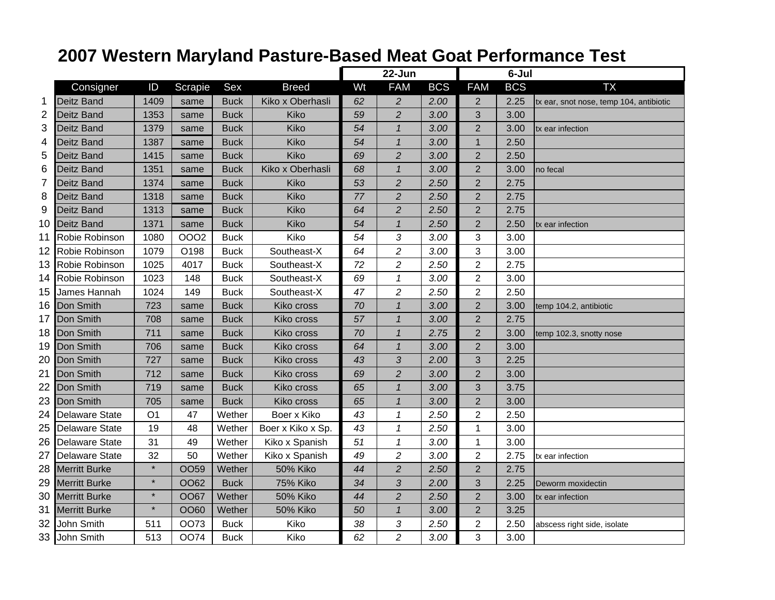## **2007 Western Maryland Pasture-Based Meat Goat Performance Test**

|                |                       |                |             |             |                   | 22-Jun |                |            |                | 6-Jul      |                                         |
|----------------|-----------------------|----------------|-------------|-------------|-------------------|--------|----------------|------------|----------------|------------|-----------------------------------------|
|                | Consigner             | ID             | Scrapie     | Sex         | <b>Breed</b>      | Wt     | <b>FAM</b>     | <b>BCS</b> | <b>FAM</b>     | <b>BCS</b> | <b>TX</b>                               |
| 1              | <b>Deitz Band</b>     | 1409           | same        | Buck        | Kiko x Oberhasli  | 62     | $\overline{c}$ | 2.00       | 2              | 2.25       | tx ear, snot nose, temp 104, antibiotic |
| $\overline{2}$ | <b>Deitz Band</b>     | 1353           | same        | <b>Buck</b> | Kiko              | 59     | $\overline{2}$ | 3.00       | 3              | 3.00       |                                         |
| 3              | <b>Deitz Band</b>     | 1379           | same        | <b>Buck</b> | Kiko              | 54     | $\mathbf{1}$   | 3.00       | $\overline{2}$ | 3.00       | tx ear infection                        |
| 4              | <b>Deitz Band</b>     | 1387           | same        | <b>Buck</b> | Kiko              | 54     | $\mathbf{1}$   | 3.00       | 1              | 2.50       |                                         |
| 5              | Deitz Band            | 1415           | same        | <b>Buck</b> | Kiko              | 69     | $\overline{c}$ | 3.00       | $\overline{2}$ | 2.50       |                                         |
| 6              | <b>Deitz Band</b>     | 1351           | same        | <b>Buck</b> | Kiko x Oberhasli  | 68     | $\mathbf{1}$   | 3.00       | $\overline{2}$ | 3.00       | no fecal                                |
| $\overline{7}$ | <b>Deitz Band</b>     | 1374           | same        | <b>Buck</b> | Kiko              | 53     | $\overline{c}$ | 2.50       | $\overline{2}$ | 2.75       |                                         |
| 8              | Deitz Band            | 1318           | same        | <b>Buck</b> | Kiko              | 77     | $\overline{c}$ | 2.50       | $\overline{2}$ | 2.75       |                                         |
| 9              | Deitz Band            | 1313           | same        | <b>Buck</b> | Kiko              | 64     | $\overline{2}$ | 2.50       | $\overline{2}$ | 2.75       |                                         |
| 10             | Deitz Band            | 1371           | same        | <b>Buck</b> | Kiko              | 54     | $\mathbf{1}$   | 2.50       | $\overline{2}$ | 2.50       | tx ear infection                        |
| 11             | Robie Robinson        | 1080           | <b>OOO2</b> | <b>Buck</b> | Kiko              | 54     | 3              | 3.00       | 3              | 3.00       |                                         |
| 12             | Robie Robinson        | 1079           | O198        | <b>Buck</b> | Southeast-X       | 64     | $\overline{c}$ | 3.00       | 3              | 3.00       |                                         |
| 13             | Robie Robinson        | 1025           | 4017        | <b>Buck</b> | Southeast-X       | 72     | $\overline{c}$ | 2.50       | $\overline{2}$ | 2.75       |                                         |
| 14             | Robie Robinson        | 1023           | 148         | <b>Buck</b> | Southeast-X       | 69     | $\mathbf{1}$   | 3.00       | $\overline{2}$ | 3.00       |                                         |
| 15             | James Hannah          | 1024           | 149         | <b>Buck</b> | Southeast-X       | 47     | $\overline{c}$ | 2.50       | 2              | 2.50       |                                         |
| 16             | Don Smith             | 723            | same        | <b>Buck</b> | Kiko cross        | 70     | $\mathbf{1}$   | 3.00       | $\overline{2}$ | 3.00       | temp 104.2, antibiotic                  |
| 17             | Don Smith             | 708            | same        | <b>Buck</b> | Kiko cross        | 57     | $\mathbf{1}$   | 3.00       | $\overline{2}$ | 2.75       |                                         |
| 18             | Don Smith             | 711            | same        | <b>Buck</b> | Kiko cross        | 70     | $\mathbf{1}$   | 2.75       | $\overline{2}$ | 3.00       | temp 102.3, snotty nose                 |
| 19             | Don Smith             | 706            | same        | <b>Buck</b> | Kiko cross        | 64     | $\overline{1}$ | 3.00       | $\overline{2}$ | 3.00       |                                         |
| 20             | Don Smith             | 727            | same        | <b>Buck</b> | Kiko cross        | 43     | 3              | 2.00       | 3              | 2.25       |                                         |
| 21             | Don Smith             | 712            | same        | <b>Buck</b> | Kiko cross        | 69     | $\overline{c}$ | 3.00       | $\overline{2}$ | 3.00       |                                         |
| 22             | Don Smith             | 719            | same        | <b>Buck</b> | Kiko cross        | 65     | $\mathbf{1}$   | 3.00       | 3              | 3.75       |                                         |
| 23             | Don Smith             | 705            | same        | <b>Buck</b> | Kiko cross        | 65     | $\overline{1}$ | 3.00       | $\overline{2}$ | 3.00       |                                         |
| 24             | <b>Delaware State</b> | O <sub>1</sub> | 47          | Wether      | Boer x Kiko       | 43     | $\mathcal I$   | 2.50       | $\overline{2}$ | 2.50       |                                         |
| 25             | <b>Delaware State</b> | 19             | 48          | Wether      | Boer x Kiko x Sp. | 43     | $\mathcal I$   | 2.50       | 1              | 3.00       |                                         |
| 26             | Delaware State        | 31             | 49          | Wether      | Kiko x Spanish    | 51     | $\mathbf{1}$   | 3.00       | 1              | 3.00       |                                         |
| 27             | Delaware State        | 32             | 50          | Wether      | Kiko x Spanish    | 49     | $\overline{c}$ | 3.00       | $\overline{2}$ | 2.75       | tx ear infection                        |
| 28             | <b>Merritt Burke</b>  | $\star$        | <b>OO59</b> | Wether      | <b>50% Kiko</b>   | 44     | $\overline{2}$ | 2.50       | $\overline{2}$ | 2.75       |                                         |
| 29             | <b>Merritt Burke</b>  | $\star$        | OO62        | <b>Buck</b> | <b>75% Kiko</b>   | 34     | 3              | 2.00       | 3              | 2.25       | Deworm moxidectin                       |
| 30             | <b>Merritt Burke</b>  | $\star$        | <b>OO67</b> | Wether      | <b>50% Kiko</b>   | 44     | $\overline{c}$ | 2.50       | $\overline{2}$ | 3.00       | tx ear infection                        |
| 31             | <b>Merritt Burke</b>  | $\star$        | OO60        | Wether      | <b>50% Kiko</b>   | 50     | $\mathbf{1}$   | 3.00       | $\overline{2}$ | 3.25       |                                         |
| 32             | John Smith            | 511            | <b>OO73</b> | <b>Buck</b> | Kiko              | 38     | 3              | 2.50       | $\overline{c}$ | 2.50       | abscess right side, isolate             |
| 33             | John Smith            | 513            | <b>OO74</b> | <b>Buck</b> | Kiko              | 62     | $\overline{c}$ | 3.00       | 3              | 3.00       |                                         |